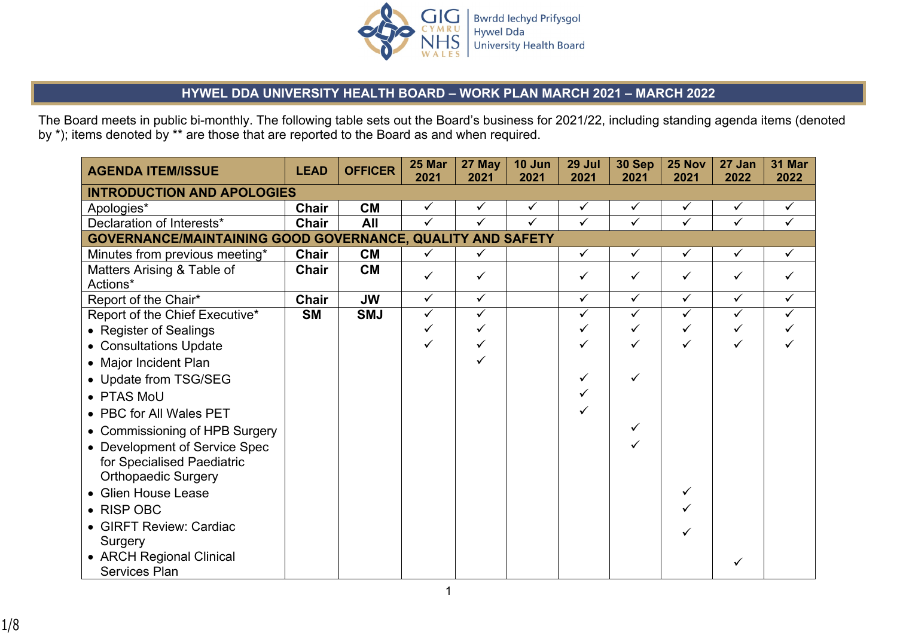

## **HYWEL DDA UNIVERSITY HEALTH BOARD – WORK PLAN MARCH 2021 – MARCH 2022**

The Board meets in public bi-monthly. The following table sets out the Board's business for 2021/22, including standing agenda items (denoted by \*); items denoted by \*\* are those that are reported to the Board as and when required.

| <b>AGENDA ITEM/ISSUE</b>                                   | <b>LEAD</b> | <b>OFFICER</b> | 25 Mar<br>2021 | 27 May<br>2021 | 10 Jun<br>2021 | 29 Jul<br>2021 | 30 Sep<br>2021 | 25 Nov<br>2021 | 27 Jan<br>2022 | <b>31 Mar</b><br>2022 |
|------------------------------------------------------------|-------------|----------------|----------------|----------------|----------------|----------------|----------------|----------------|----------------|-----------------------|
| <b>INTRODUCTION AND APOLOGIES</b>                          |             |                |                |                |                |                |                |                |                |                       |
| Apologies*                                                 | Chair       | <b>CM</b>      | $\checkmark$   | $\checkmark$   | $\checkmark$   | $\checkmark$   | ✓              | $\checkmark$   | $\checkmark$   | $\checkmark$          |
| Declaration of Interests*                                  | Chair       | All            | $\checkmark$   | $\checkmark$   | ✓              | $\checkmark$   | $\checkmark$   | $\checkmark$   | $\checkmark$   | $\checkmark$          |
| GOVERNANCE/MAINTAINING GOOD GOVERNANCE, QUALITY AND SAFETY |             |                |                |                |                |                |                |                |                |                       |
| Minutes from previous meeting*                             | Chair       | <b>CM</b>      | $\checkmark$   | ✓              |                | $\checkmark$   | $\checkmark$   | $\checkmark$   | $\checkmark$   | $\checkmark$          |
| Matters Arising & Table of<br>Actions*                     | Chair       | <b>CM</b>      | $\checkmark$   | $\checkmark$   |                | ✓              | ✓              | $\checkmark$   | ✓              | $\checkmark$          |
| Report of the Chair*                                       | Chair       | <b>JW</b>      | $\checkmark$   | $\checkmark$   |                | $\checkmark$   | $\checkmark$   | $\checkmark$   | $\checkmark$   | $\checkmark$          |
| Report of the Chief Executive*                             | <b>SM</b>   | <b>SMJ</b>     | $\checkmark$   | $\checkmark$   |                | $\checkmark$   | $\checkmark$   | $\checkmark$   | $\checkmark$   | $\checkmark$          |
| • Register of Sealings                                     |             |                | ✓              | ✓              |                | ✓              |                |                |                |                       |
| • Consultations Update                                     |             |                | ✓              |                |                |                | ✓              |                |                |                       |
| • Major Incident Plan                                      |             |                |                |                |                |                |                |                |                |                       |
| • Update from TSG/SEG                                      |             |                |                |                |                |                | ✓              |                |                |                       |
| • PTAS MoU                                                 |             |                |                |                |                |                |                |                |                |                       |
| • PBC for All Wales PET                                    |             |                |                |                |                |                |                |                |                |                       |
| • Commissioning of HPB Surgery                             |             |                |                |                |                |                | $\checkmark$   |                |                |                       |
| • Development of Service Spec                              |             |                |                |                |                |                |                |                |                |                       |
| for Specialised Paediatric                                 |             |                |                |                |                |                |                |                |                |                       |
| <b>Orthopaedic Surgery</b>                                 |             |                |                |                |                |                |                |                |                |                       |
| • Glien House Lease                                        |             |                |                |                |                |                |                |                |                |                       |
| • RISP OBC                                                 |             |                |                |                |                |                |                |                |                |                       |
| • GIRFT Review: Cardiac                                    |             |                |                |                |                |                |                |                |                |                       |
| Surgery                                                    |             |                |                |                |                |                |                |                |                |                       |
| • ARCH Regional Clinical                                   |             |                |                |                |                |                |                |                |                |                       |
| <b>Services Plan</b>                                       |             |                |                |                |                |                |                |                |                |                       |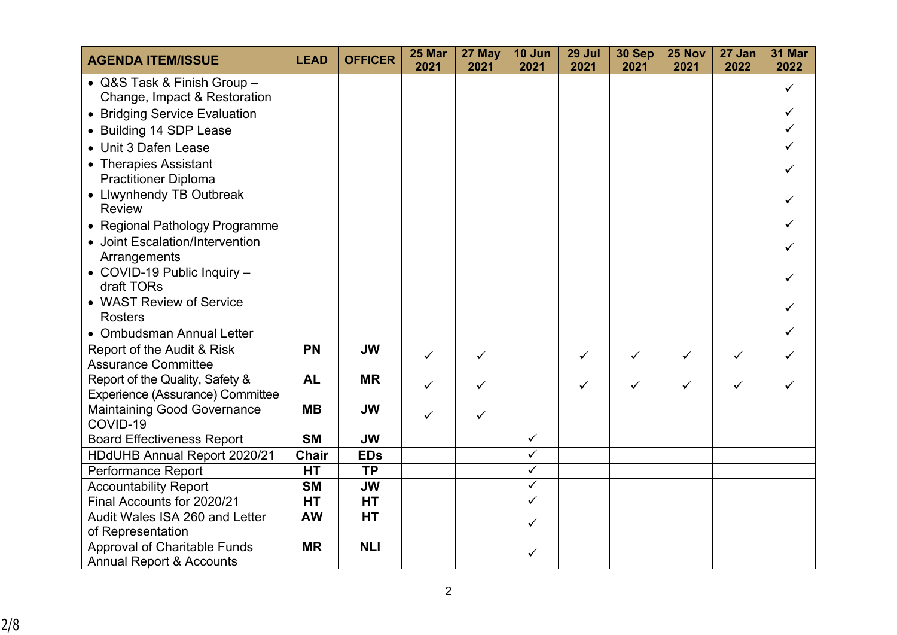| <b>AGENDA ITEM/ISSUE</b>                       | <b>LEAD</b>  | <b>OFFICER</b> | 25 Mar<br>2021 | 27 May<br>2021 | 10 Jun<br>2021          | 29 Jul<br>2021 | 30 Sep<br>2021 | 25 Nov<br>2021 | 27 Jan<br>2022 | 31 Mar<br>2022 |
|------------------------------------------------|--------------|----------------|----------------|----------------|-------------------------|----------------|----------------|----------------|----------------|----------------|
| • Q&S Task & Finish Group -                    |              |                |                |                |                         |                |                |                |                | $\checkmark$   |
| Change, Impact & Restoration                   |              |                |                |                |                         |                |                |                |                |                |
| • Bridging Service Evaluation                  |              |                |                |                |                         |                |                |                |                | ✓              |
| • Building 14 SDP Lease                        |              |                |                |                |                         |                |                |                |                |                |
| • Unit 3 Dafen Lease                           |              |                |                |                |                         |                |                |                |                |                |
| • Therapies Assistant                          |              |                |                |                |                         |                |                |                |                |                |
| <b>Practitioner Diploma</b>                    |              |                |                |                |                         |                |                |                |                |                |
| • Llwynhendy TB Outbreak                       |              |                |                |                |                         |                |                |                |                |                |
| <b>Review</b>                                  |              |                |                |                |                         |                |                |                |                |                |
| • Regional Pathology Programme                 |              |                |                |                |                         |                |                |                |                |                |
| • Joint Escalation/Intervention                |              |                |                |                |                         |                |                |                |                |                |
| Arrangements                                   |              |                |                |                |                         |                |                |                |                |                |
| • COVID-19 Public Inquiry -                    |              |                |                |                |                         |                |                |                |                |                |
| draft TORs                                     |              |                |                |                |                         |                |                |                |                |                |
| • WAST Review of Service                       |              |                |                |                |                         |                |                |                |                |                |
| <b>Rosters</b>                                 |              |                |                |                |                         |                |                |                |                |                |
| • Ombudsman Annual Letter                      |              |                |                |                |                         |                |                |                |                | ✓              |
| Report of the Audit & Risk                     | <b>PN</b>    | <b>JW</b>      | $\checkmark$   | $\checkmark$   |                         | $\checkmark$   | $\checkmark$   | $\checkmark$   | ✓              | ✓              |
| <b>Assurance Committee</b>                     |              |                |                |                |                         |                |                |                |                |                |
| Report of the Quality, Safety &                | <b>AL</b>    | <b>MR</b>      | $\checkmark$   | $\checkmark$   |                         | $\checkmark$   | $\checkmark$   | $\checkmark$   | $\checkmark$   | $\checkmark$   |
| Experience (Assurance) Committee               | <b>MB</b>    | <b>JW</b>      |                |                |                         |                |                |                |                |                |
| <b>Maintaining Good Governance</b><br>COVID-19 |              |                | $\checkmark$   | $\checkmark$   |                         |                |                |                |                |                |
| <b>Board Effectiveness Report</b>              | <b>SM</b>    | <b>JW</b>      |                |                | $\checkmark$            |                |                |                |                |                |
| HDdUHB Annual Report 2020/21                   | <b>Chair</b> | <b>EDs</b>     |                |                | $\checkmark$            |                |                |                |                |                |
| Performance Report                             | <b>HT</b>    | <b>TP</b>      |                |                | $\overline{\checkmark}$ |                |                |                |                |                |
| <b>Accountability Report</b>                   | <b>SM</b>    | <b>JW</b>      |                |                | $\overline{\checkmark}$ |                |                |                |                |                |
| Final Accounts for 2020/21                     | <b>HT</b>    | <b>HT</b>      |                |                | $\checkmark$            |                |                |                |                |                |
| Audit Wales ISA 260 and Letter                 | <b>AW</b>    | <b>HT</b>      |                |                |                         |                |                |                |                |                |
| of Representation                              |              |                |                |                | $\checkmark$            |                |                |                |                |                |
| Approval of Charitable Funds                   | <b>MR</b>    | <b>NLI</b>     |                |                | $\checkmark$            |                |                |                |                |                |
| <b>Annual Report &amp; Accounts</b>            |              |                |                |                |                         |                |                |                |                |                |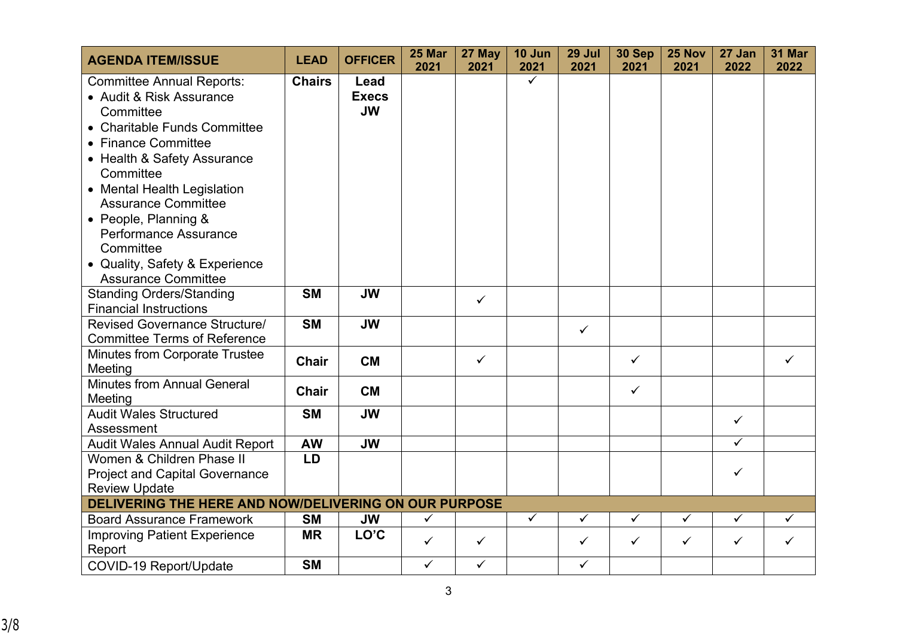| <b>AGENDA ITEM/ISSUE</b>                                                                                                                                                                                                                                                                                                                                                | <b>LEAD</b>   | <b>OFFICER</b>                    | 25 Mar<br>2021 | 27 May<br>2021 | 10 Jun<br>2021 | 29 Jul<br>2021 | 30 Sep<br>2021 | 25 Nov<br>2021 | 27 Jan<br>2022 | <b>31 Mar</b><br>2022 |
|-------------------------------------------------------------------------------------------------------------------------------------------------------------------------------------------------------------------------------------------------------------------------------------------------------------------------------------------------------------------------|---------------|-----------------------------------|----------------|----------------|----------------|----------------|----------------|----------------|----------------|-----------------------|
| <b>Committee Annual Reports:</b><br>• Audit & Risk Assurance<br>Committee<br>• Charitable Funds Committee<br>• Finance Committee<br>• Health & Safety Assurance<br>Committee<br>• Mental Health Legislation<br><b>Assurance Committee</b><br>• People, Planning &<br>Performance Assurance<br>Committee<br>• Quality, Safety & Experience<br><b>Assurance Committee</b> | <b>Chairs</b> | Lead<br><b>Execs</b><br><b>JW</b> |                |                | $\checkmark$   |                |                |                |                |                       |
| <b>Standing Orders/Standing</b><br><b>Financial Instructions</b>                                                                                                                                                                                                                                                                                                        | <b>SM</b>     | <b>JW</b>                         |                | $\checkmark$   |                |                |                |                |                |                       |
| Revised Governance Structure/<br><b>Committee Terms of Reference</b>                                                                                                                                                                                                                                                                                                    | <b>SM</b>     | <b>JW</b>                         |                |                |                | $\checkmark$   |                |                |                |                       |
| <b>Minutes from Corporate Trustee</b><br>Meeting                                                                                                                                                                                                                                                                                                                        | <b>Chair</b>  | <b>CM</b>                         |                | $\checkmark$   |                |                | $\checkmark$   |                |                | ✓                     |
| <b>Minutes from Annual General</b><br>Meeting                                                                                                                                                                                                                                                                                                                           | <b>Chair</b>  | <b>CM</b>                         |                |                |                |                | $\checkmark$   |                |                |                       |
| <b>Audit Wales Structured</b><br>Assessment                                                                                                                                                                                                                                                                                                                             | <b>SM</b>     | <b>JW</b>                         |                |                |                |                |                |                | ✓              |                       |
| <b>Audit Wales Annual Audit Report</b>                                                                                                                                                                                                                                                                                                                                  | <b>AW</b>     | <b>JW</b>                         |                |                |                |                |                |                | $\checkmark$   |                       |
| Women & Children Phase II<br><b>Project and Capital Governance</b><br><b>Review Update</b>                                                                                                                                                                                                                                                                              | LD            |                                   |                |                |                |                |                |                | $\checkmark$   |                       |
| DELIVERING THE HERE AND NOW/DELIVERING ON OUR PURPOSE                                                                                                                                                                                                                                                                                                                   |               |                                   |                |                |                |                |                |                |                |                       |
| <b>Board Assurance Framework</b>                                                                                                                                                                                                                                                                                                                                        | <b>SM</b>     | <b>JW</b>                         | $\checkmark$   |                | $\checkmark$   | $\checkmark$   | $\checkmark$   | ✓              | $\checkmark$   | $\checkmark$          |
| <b>Improving Patient Experience</b><br>Report                                                                                                                                                                                                                                                                                                                           | <b>MR</b>     | LO'C                              | $\checkmark$   | $\checkmark$   |                | $\checkmark$   | $\checkmark$   | $\checkmark$   | $\checkmark$   | $\checkmark$          |
| <b>COVID-19 Report/Update</b>                                                                                                                                                                                                                                                                                                                                           | <b>SM</b>     |                                   | $\checkmark$   | $\checkmark$   |                | $\checkmark$   |                |                |                |                       |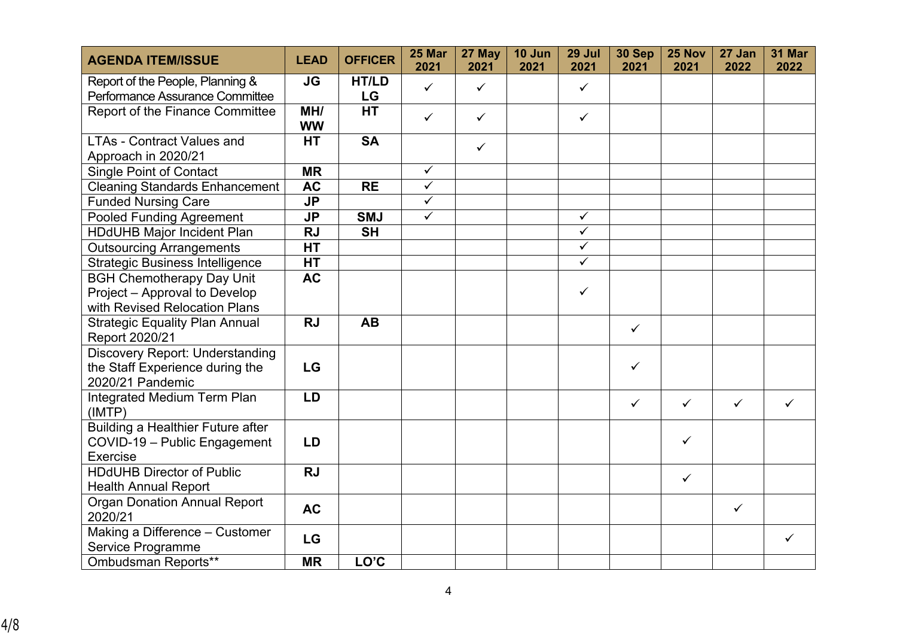| <b>AGENDA ITEM/ISSUE</b>                                                             | <b>LEAD</b>      | <b>OFFICER</b> | 25 Mar<br>2021          | 27 May<br>2021 | 10 Jun<br>2021 | 29 Jul<br>2021          | 30 Sep<br>2021 | 25 Nov<br>2021 | 27 Jan<br>2022 | <b>31 Mar</b><br>2022 |
|--------------------------------------------------------------------------------------|------------------|----------------|-------------------------|----------------|----------------|-------------------------|----------------|----------------|----------------|-----------------------|
| Report of the People, Planning &                                                     | <b>JG</b>        | HT/LD          | $\checkmark$            | $\checkmark$   |                | $\checkmark$            |                |                |                |                       |
| Performance Assurance Committee                                                      |                  | LG             |                         |                |                |                         |                |                |                |                       |
| <b>Report of the Finance Committee</b>                                               | MH/<br><b>WW</b> | <b>HT</b>      | $\checkmark$            | $\checkmark$   |                | $\checkmark$            |                |                |                |                       |
| <b>LTAs - Contract Values and</b><br>Approach in 2020/21                             | <b>HT</b>        | <b>SA</b>      |                         | $\checkmark$   |                |                         |                |                |                |                       |
| <b>Single Point of Contact</b>                                                       | <b>MR</b>        |                | $\checkmark$            |                |                |                         |                |                |                |                       |
| <b>Cleaning Standards Enhancement</b>                                                | <b>AC</b>        | <b>RE</b>      | $\overline{\checkmark}$ |                |                |                         |                |                |                |                       |
| <b>Funded Nursing Care</b>                                                           | <b>JP</b>        |                | $\overline{\checkmark}$ |                |                |                         |                |                |                |                       |
| <b>Pooled Funding Agreement</b>                                                      | <b>JP</b>        | <b>SMJ</b>     | $\checkmark$            |                |                | $\checkmark$            |                |                |                |                       |
| <b>HDdUHB Major Incident Plan</b>                                                    | <b>RJ</b>        | <b>SH</b>      |                         |                |                | $\overline{\checkmark}$ |                |                |                |                       |
| <b>Outsourcing Arrangements</b>                                                      | <b>HT</b>        |                |                         |                |                | $\checkmark$            |                |                |                |                       |
| <b>Strategic Business Intelligence</b>                                               | <b>HT</b>        |                |                         |                |                | $\overline{\checkmark}$ |                |                |                |                       |
| <b>BGH Chemotherapy Day Unit</b>                                                     | <b>AC</b>        |                |                         |                |                |                         |                |                |                |                       |
| Project - Approval to Develop                                                        |                  |                |                         |                |                | $\checkmark$            |                |                |                |                       |
| with Revised Relocation Plans                                                        |                  |                |                         |                |                |                         |                |                |                |                       |
| <b>Strategic Equality Plan Annual</b><br>Report 2020/21                              | <b>RJ</b>        | <b>AB</b>      |                         |                |                |                         | $\checkmark$   |                |                |                       |
| Discovery Report: Understanding                                                      |                  |                |                         |                |                |                         |                |                |                |                       |
| the Staff Experience during the<br>2020/21 Pandemic                                  | LG               |                |                         |                |                |                         | $\checkmark$   |                |                |                       |
| Integrated Medium Term Plan<br>(IMTP)                                                | <b>LD</b>        |                |                         |                |                |                         | $\checkmark$   | $\checkmark$   | $\checkmark$   | ✓                     |
| <b>Building a Healthier Future after</b><br>COVID-19 - Public Engagement<br>Exercise | LD               |                |                         |                |                |                         |                | $\checkmark$   |                |                       |
| <b>HDdUHB Director of Public</b>                                                     | <b>RJ</b>        |                |                         |                |                |                         |                |                |                |                       |
| <b>Health Annual Report</b>                                                          |                  |                |                         |                |                |                         |                | $\checkmark$   |                |                       |
| <b>Organ Donation Annual Report</b><br>2020/21                                       | <b>AC</b>        |                |                         |                |                |                         |                |                | $\checkmark$   |                       |
|                                                                                      |                  |                |                         |                |                |                         |                |                |                |                       |
| Making a Difference - Customer<br>Service Programme                                  | LG               |                |                         |                |                |                         |                |                |                | ✓                     |
| Ombudsman Reports**                                                                  | <b>MR</b>        | LO'C           |                         |                |                |                         |                |                |                |                       |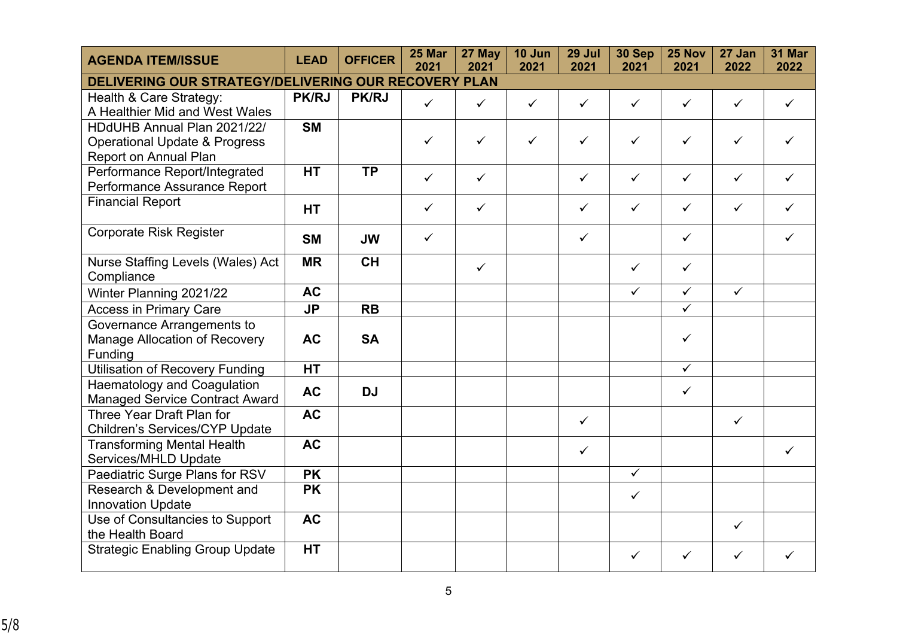| <b>AGENDA ITEM/ISSUE</b>                                                                         | <b>LEAD</b>  | <b>OFFICER</b> | 25 Mar<br>2021 | 27 May<br>2021 | 10 Jun<br>2021 | 29 Jul<br>2021 | 30 Sep<br>2021          | 25 Nov<br>2021          | 27 Jan<br>2022 | 31 Mar<br>2022 |
|--------------------------------------------------------------------------------------------------|--------------|----------------|----------------|----------------|----------------|----------------|-------------------------|-------------------------|----------------|----------------|
| DELIVERING OUR STRATEGY/DELIVERING OUR RECOVERY PLAN                                             |              |                |                |                |                |                |                         |                         |                |                |
| Health & Care Strategy:<br>A Healthier Mid and West Wales                                        | <b>PK/RJ</b> | <b>PK/RJ</b>   | $\checkmark$   | $\checkmark$   | $\checkmark$   | $\checkmark$   | $\checkmark$            | $\checkmark$            | $\checkmark$   | ✓              |
| HDdUHB Annual Plan 2021/22/<br><b>Operational Update &amp; Progress</b><br>Report on Annual Plan | <b>SM</b>    |                | $\checkmark$   | $\checkmark$   | $\checkmark$   | $\checkmark$   | ✓                       | ✓                       | $\checkmark$   | ✓              |
| Performance Report/Integrated<br>Performance Assurance Report                                    | <b>HT</b>    | <b>TP</b>      | $\checkmark$   | $\checkmark$   |                | $\checkmark$   | $\checkmark$            | $\checkmark$            | $\checkmark$   | ✓              |
| <b>Financial Report</b>                                                                          | <b>HT</b>    |                | $\checkmark$   | $\checkmark$   |                | $\checkmark$   | $\checkmark$            | $\checkmark$            | ✓              |                |
| <b>Corporate Risk Register</b>                                                                   | <b>SM</b>    | <b>JW</b>      | ✓              |                |                | $\checkmark$   |                         | $\checkmark$            |                | ✓              |
| Nurse Staffing Levels (Wales) Act<br>Compliance                                                  | <b>MR</b>    | <b>CH</b>      |                | $\checkmark$   |                |                | $\checkmark$            | $\checkmark$            |                |                |
| Winter Planning 2021/22                                                                          | <b>AC</b>    |                |                |                |                |                | $\checkmark$            | $\checkmark$            | $\checkmark$   |                |
| <b>Access in Primary Care</b>                                                                    | <b>JP</b>    | <b>RB</b>      |                |                |                |                |                         | $\overline{\checkmark}$ |                |                |
| Governance Arrangements to<br>Manage Allocation of Recovery<br>Funding                           | <b>AC</b>    | <b>SA</b>      |                |                |                |                |                         | $\checkmark$            |                |                |
| <b>Utilisation of Recovery Funding</b>                                                           | <b>HT</b>    |                |                |                |                |                |                         | $\checkmark$            |                |                |
| <b>Haematology and Coagulation</b><br><b>Managed Service Contract Award</b>                      | <b>AC</b>    | <b>DJ</b>      |                |                |                |                |                         | $\checkmark$            |                |                |
| Three Year Draft Plan for<br>Children's Services/CYP Update                                      | <b>AC</b>    |                |                |                |                | $\checkmark$   |                         |                         | $\checkmark$   |                |
| <b>Transforming Mental Health</b><br>Services/MHLD Update                                        | <b>AC</b>    |                |                |                |                | $\checkmark$   |                         |                         |                | ✓              |
| Paediatric Surge Plans for RSV                                                                   | <b>PK</b>    |                |                |                |                |                | $\overline{\checkmark}$ |                         |                |                |
| Research & Development and<br><b>Innovation Update</b>                                           | <b>PK</b>    |                |                |                |                |                | $\checkmark$            |                         |                |                |
| Use of Consultancies to Support<br>the Health Board                                              | <b>AC</b>    |                |                |                |                |                |                         |                         | $\checkmark$   |                |
| <b>Strategic Enabling Group Update</b>                                                           | HT           |                |                |                |                |                | ✓                       | ✓                       | ✓              | ✓              |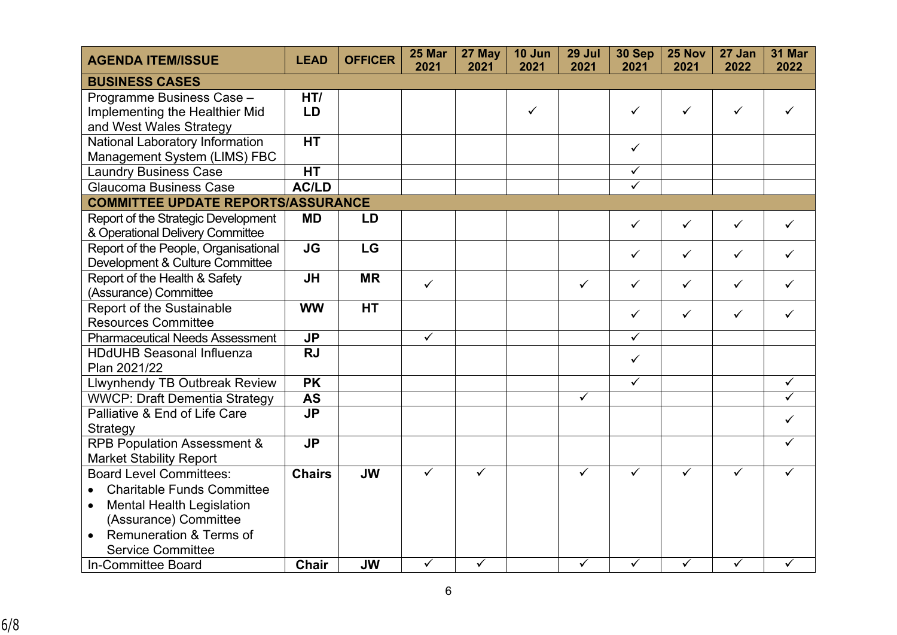| <b>AGENDA ITEM/ISSUE</b>                      | <b>LEAD</b>                       | <b>OFFICER</b> | 25 Mar<br>2021          | 27 May<br>2021          | 10 Jun<br>2021 | 29 Jul<br>2021          | 30 Sep<br>2021          | 25 Nov<br>2021          | 27 Jan<br>2022          | 31 Mar<br>2022          |
|-----------------------------------------------|-----------------------------------|----------------|-------------------------|-------------------------|----------------|-------------------------|-------------------------|-------------------------|-------------------------|-------------------------|
| <b>BUSINESS CASES</b>                         |                                   |                |                         |                         |                |                         |                         |                         |                         |                         |
| Programme Business Case -                     | HT/                               |                |                         |                         |                |                         |                         |                         |                         |                         |
| Implementing the Healthier Mid                | LD                                |                |                         |                         | $\checkmark$   |                         | $\checkmark$            | $\checkmark$            | $\checkmark$            |                         |
| and West Wales Strategy                       |                                   |                |                         |                         |                |                         |                         |                         |                         |                         |
| National Laboratory Information               | <b>HT</b>                         |                |                         |                         |                |                         | $\checkmark$            |                         |                         |                         |
| Management System (LIMS) FBC                  |                                   |                |                         |                         |                |                         |                         |                         |                         |                         |
| <b>Laundry Business Case</b>                  | <b>HT</b>                         |                |                         |                         |                |                         | $\overline{\checkmark}$ |                         |                         |                         |
| Glaucoma Business Case                        | <b>AC/LD</b>                      |                |                         |                         |                |                         | $\overline{\checkmark}$ |                         |                         |                         |
| <b>COMMITTEE UPDATE REPORTS/ASSURANCE</b>     |                                   |                |                         |                         |                |                         |                         |                         |                         |                         |
| Report of the Strategic Development           | <b>MD</b>                         | LD             |                         |                         |                |                         | $\checkmark$            | $\checkmark$            | $\checkmark$            | ✓                       |
| & Operational Delivery Committee              |                                   |                |                         |                         |                |                         |                         |                         |                         |                         |
| Report of the People, Organisational          | $\overline{\mathsf{J}\mathsf{G}}$ | LG             |                         |                         |                |                         | $\checkmark$            | $\checkmark$            | $\checkmark$            | $\checkmark$            |
| Development & Culture Committee               |                                   |                |                         |                         |                |                         |                         |                         |                         |                         |
| Report of the Health & Safety                 | <b>JH</b>                         | <b>MR</b>      | $\checkmark$            |                         |                | $\checkmark$            | $\checkmark$            | $\checkmark$            | $\checkmark$            | $\checkmark$            |
| (Assurance) Committee                         |                                   |                |                         |                         |                |                         |                         |                         |                         |                         |
| Report of the Sustainable                     | <b>WW</b>                         | <b>HT</b>      |                         |                         |                |                         | $\checkmark$            | $\checkmark$            | $\checkmark$            | ✓                       |
| <b>Resources Committee</b>                    |                                   |                |                         |                         |                |                         |                         |                         |                         |                         |
| <b>Pharmaceutical Needs Assessment</b>        | <b>JP</b>                         |                | $\checkmark$            |                         |                |                         | $\checkmark$            |                         |                         |                         |
| <b>HDdUHB Seasonal Influenza</b>              | <b>RJ</b>                         |                |                         |                         |                |                         | $\checkmark$            |                         |                         |                         |
| Plan 2021/22                                  |                                   |                |                         |                         |                |                         |                         |                         |                         |                         |
| Llwynhendy TB Outbreak Review                 | <b>PK</b>                         |                |                         |                         |                |                         | $\checkmark$            |                         |                         | $\checkmark$            |
| <b>WWCP: Draft Dementia Strategy</b>          | <b>AS</b>                         |                |                         |                         |                | $\overline{\checkmark}$ |                         |                         |                         | $\overline{\checkmark}$ |
| Palliative & End of Life Care                 | <b>JP</b>                         |                |                         |                         |                |                         |                         |                         |                         | ✓                       |
| Strategy                                      |                                   |                |                         |                         |                |                         |                         |                         |                         |                         |
| <b>RPB Population Assessment &amp;</b>        | <b>JP</b>                         |                |                         |                         |                |                         |                         |                         |                         | ✓                       |
| <b>Market Stability Report</b>                |                                   |                |                         |                         |                |                         |                         |                         |                         |                         |
| <b>Board Level Committees:</b>                | <b>Chairs</b>                     | <b>JW</b>      | $\overline{\checkmark}$ | $\overline{\checkmark}$ |                | $\overline{\checkmark}$ | $\overline{\checkmark}$ | $\overline{\checkmark}$ | $\overline{\checkmark}$ | ✓                       |
| <b>Charitable Funds Committee</b>             |                                   |                |                         |                         |                |                         |                         |                         |                         |                         |
| <b>Mental Health Legislation</b><br>$\bullet$ |                                   |                |                         |                         |                |                         |                         |                         |                         |                         |
| (Assurance) Committee                         |                                   |                |                         |                         |                |                         |                         |                         |                         |                         |
| Remuneration & Terms of<br>$\bullet$          |                                   |                |                         |                         |                |                         |                         |                         |                         |                         |
| <b>Service Committee</b>                      |                                   |                |                         |                         |                |                         |                         |                         |                         |                         |
| In-Committee Board                            | <b>Chair</b>                      | <b>JW</b>      | $\checkmark$            | $\overline{\checkmark}$ |                | $\overline{\checkmark}$ | $\overline{\checkmark}$ | $\sqrt{}$               | $\checkmark$            | ✓                       |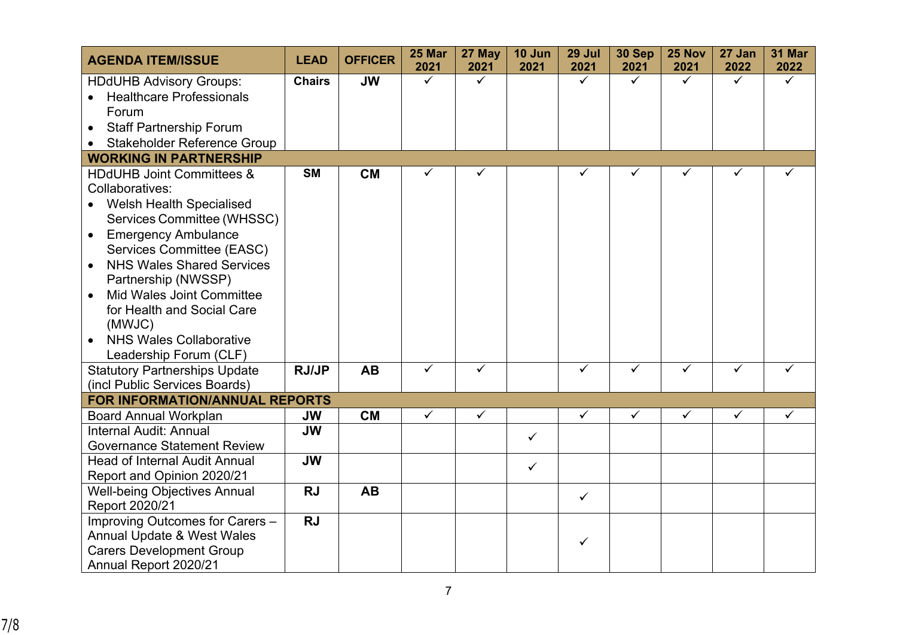| <b>AGENDA ITEM/ISSUE</b>                      | <b>LEAD</b>   | <b>OFFICER</b> | 25 Mar<br>2021 | 27 May<br>2021 | 10 Jun<br>2021 | 29 Jul<br>2021          | 30 Sep<br>2021 | 25 Nov<br>2021 | 27 Jan<br>2022 | 31 Mar<br>2022 |
|-----------------------------------------------|---------------|----------------|----------------|----------------|----------------|-------------------------|----------------|----------------|----------------|----------------|
| <b>HDdUHB Advisory Groups:</b>                | <b>Chairs</b> | <b>JW</b>      | $\checkmark$   | ✓              |                | $\checkmark$            | $\checkmark$   | ✓              | $\checkmark$   | ✓              |
| <b>Healthcare Professionals</b>               |               |                |                |                |                |                         |                |                |                |                |
| Forum                                         |               |                |                |                |                |                         |                |                |                |                |
| <b>Staff Partnership Forum</b>                |               |                |                |                |                |                         |                |                |                |                |
| <b>Stakeholder Reference Group</b>            |               |                |                |                |                |                         |                |                |                |                |
| <b>WORKING IN PARTNERSHIP</b>                 |               |                |                |                |                |                         |                |                |                |                |
| <b>HDdUHB Joint Committees &amp;</b>          | <b>SM</b>     | <b>CM</b>      | $\checkmark$   | ✓              |                | ✓                       | ✓              | ✓              |                |                |
| Collaboratives:                               |               |                |                |                |                |                         |                |                |                |                |
| <b>Welsh Health Specialised</b>               |               |                |                |                |                |                         |                |                |                |                |
| Services Committee (WHSSC)                    |               |                |                |                |                |                         |                |                |                |                |
| <b>Emergency Ambulance</b>                    |               |                |                |                |                |                         |                |                |                |                |
| Services Committee (EASC)                     |               |                |                |                |                |                         |                |                |                |                |
| <b>NHS Wales Shared Services</b>              |               |                |                |                |                |                         |                |                |                |                |
| Partnership (NWSSP)                           |               |                |                |                |                |                         |                |                |                |                |
| <b>Mid Wales Joint Committee</b><br>$\bullet$ |               |                |                |                |                |                         |                |                |                |                |
| for Health and Social Care                    |               |                |                |                |                |                         |                |                |                |                |
| (MWJC)                                        |               |                |                |                |                |                         |                |                |                |                |
| <b>NHS Wales Collaborative</b>                |               |                |                |                |                |                         |                |                |                |                |
| Leadership Forum (CLF)                        |               |                |                |                |                |                         |                |                |                |                |
| <b>Statutory Partnerships Update</b>          | <b>RJ/JP</b>  | <b>AB</b>      | $\checkmark$   | $\checkmark$   |                | $\overline{\checkmark}$ | $\checkmark$   | $\checkmark$   | $\checkmark$   | ✓              |
| (incl Public Services Boards)                 |               |                |                |                |                |                         |                |                |                |                |
| FOR INFORMATION/ANNUAL REPORTS                |               |                |                |                |                |                         |                |                |                |                |
| <b>Board Annual Workplan</b>                  | <b>JW</b>     | <b>CM</b>      | $\checkmark$   | $\checkmark$   |                | $\checkmark$            | $\checkmark$   | $\checkmark$   | $\checkmark$   | $\checkmark$   |
| Internal Audit: Annual                        | <b>JW</b>     |                |                |                | $\checkmark$   |                         |                |                |                |                |
| <b>Governance Statement Review</b>            |               |                |                |                |                |                         |                |                |                |                |
| <b>Head of Internal Audit Annual</b>          | <b>JW</b>     |                |                |                | $\checkmark$   |                         |                |                |                |                |
| Report and Opinion 2020/21                    |               |                |                |                |                |                         |                |                |                |                |
| <b>Well-being Objectives Annual</b>           | <b>RJ</b>     | <b>AB</b>      |                |                |                | $\checkmark$            |                |                |                |                |
| Report 2020/21                                |               |                |                |                |                |                         |                |                |                |                |
| Improving Outcomes for Carers -               | <b>RJ</b>     |                |                |                |                |                         |                |                |                |                |
| Annual Update & West Wales                    |               |                |                |                |                | ✓                       |                |                |                |                |
| <b>Carers Development Group</b>               |               |                |                |                |                |                         |                |                |                |                |
| Annual Report 2020/21                         |               |                |                |                |                |                         |                |                |                |                |